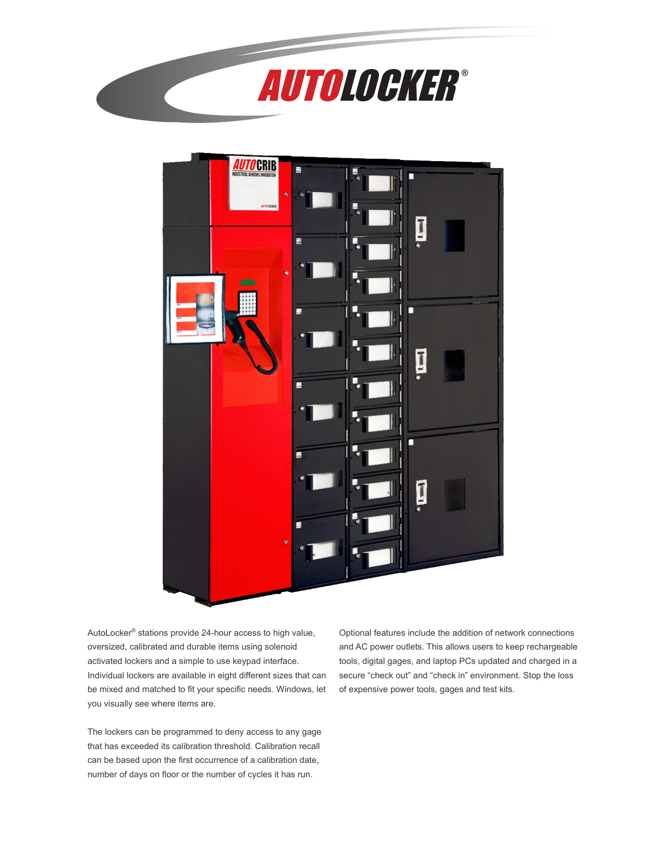



AutoLocker® stations provide 24-hour access to high value, oversized, calibrated and durable items using solenoid activated lockers and a simple to use keypad interface. Individual lockers are available in eight different sizes that can be mixed and matched to fit your specific needs. Windows, let you visually see where items are.

The lockers can be programmed to deny access to any gage that has exceeded its calibration threshold. Calibration recall can be based upon the first occurrence of a calibration date, number of days on floor or the number of cycles it has run.

Optional features include the addition of network connections and AC power outlets. This allows users to keep rechargeable tools, digital gages, and laptop PCs updated and charged in a secure "check out" and "check in" environment. Stop the loss of expensive power tools, gages and test kits.